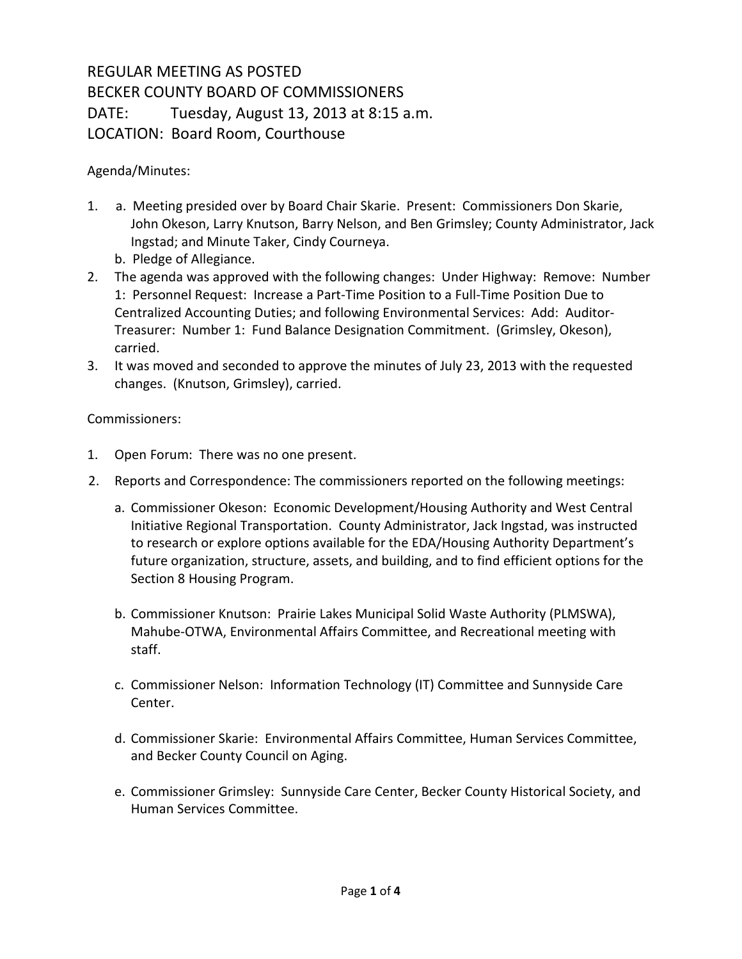## REGULAR MEETING AS POSTED BECKER COUNTY BOARD OF COMMISSIONERS DATE: Tuesday, August 13, 2013 at 8:15 a.m. LOCATION: Board Room, Courthouse

Agenda/Minutes:

- 1. a. Meeting presided over by Board Chair Skarie. Present: Commissioners Don Skarie, John Okeson, Larry Knutson, Barry Nelson, and Ben Grimsley; County Administrator, Jack Ingstad; and Minute Taker, Cindy Courneya.
	- b. Pledge of Allegiance.
- 2. The agenda was approved with the following changes: Under Highway: Remove: Number 1: Personnel Request: Increase a Part-Time Position to a Full-Time Position Due to Centralized Accounting Duties; and following Environmental Services: Add: Auditor-Treasurer: Number 1: Fund Balance Designation Commitment. (Grimsley, Okeson), carried.
- 3. It was moved and seconded to approve the minutes of July 23, 2013 with the requested changes. (Knutson, Grimsley), carried.

Commissioners:

- 1. Open Forum: There was no one present.
- 2. Reports and Correspondence: The commissioners reported on the following meetings:
	- a. Commissioner Okeson: Economic Development/Housing Authority and West Central Initiative Regional Transportation. County Administrator, Jack Ingstad, was instructed to research or explore options available for the EDA/Housing Authority Department's future organization, structure, assets, and building, and to find efficient options for the Section 8 Housing Program.
	- b. Commissioner Knutson: Prairie Lakes Municipal Solid Waste Authority (PLMSWA), Mahube-OTWA, Environmental Affairs Committee, and Recreational meeting with staff.
	- c. Commissioner Nelson: Information Technology (IT) Committee and Sunnyside Care Center.
	- d. Commissioner Skarie: Environmental Affairs Committee, Human Services Committee, and Becker County Council on Aging.
	- e. Commissioner Grimsley: Sunnyside Care Center, Becker County Historical Society, and Human Services Committee.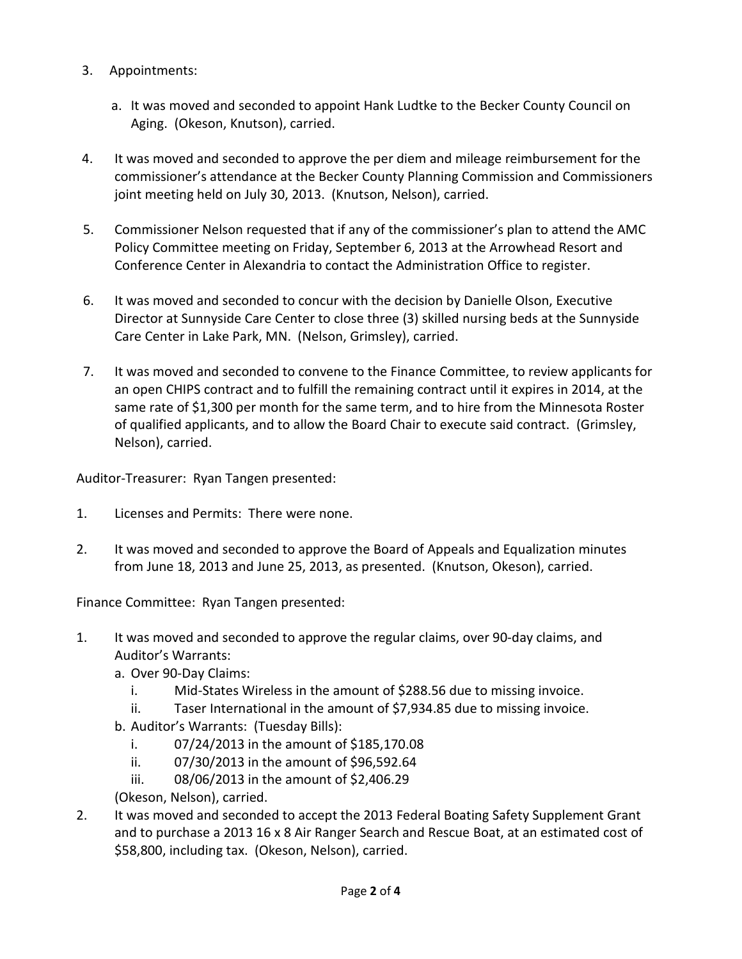- 3. Appointments:
	- a. It was moved and seconded to appoint Hank Ludtke to the Becker County Council on Aging.(Okeson, Knutson), carried.
- 4. It was moved and seconded to approve the per diem and mileage reimbursement for the commissioner's attendance at the Becker County Planning Commission and Commissioners joint meeting held on July 30, 2013. (Knutson, Nelson), carried.
- 5. Commissioner Nelson requested that if any of the commissioner's plan to attend the AMC Policy Committee meeting on Friday, September 6, 2013 at the Arrowhead Resort and Conference Center in Alexandria to contact the Administration Office to register.
- 6. It was moved and seconded to concur with the decision by Danielle Olson, Executive Director at Sunnyside Care Center to close three (3) skilled nursing beds at the Sunnyside Care Center in Lake Park, MN. (Nelson, Grimsley), carried.
- 7. It was moved and seconded to convene to the Finance Committee, to review applicants for an open CHIPS contract and to fulfill the remaining contract until it expires in 2014, at the same rate of \$1,300 per month for the same term, and to hire from the Minnesota Roster of qualified applicants, and to allow the Board Chair to execute said contract.(Grimsley, Nelson), carried.

Auditor-Treasurer: Ryan Tangen presented:

- 1. Licenses and Permits: There were none.
- 2. It was moved and seconded to approve the Board of Appeals and Equalization minutes from June 18, 2013 and June 25, 2013, as presented. (Knutson, Okeson), carried.

Finance Committee: Ryan Tangen presented:

- 1. It was moved and seconded to approve the regular claims, over 90-day claims, and Auditor's Warrants:
	- a. Over 90-Day Claims:
		- i. Mid-States Wireless in the amount of \$288.56 due to missing invoice.
		- ii. Taser International in the amount of \$7,934.85 due to missing invoice.
	- b. Auditor's Warrants: (Tuesday Bills):
		- i. 07/24/2013 in the amount of \$185,170.08
		- ii. 07/30/2013 in the amount of \$96,592.64
		- iii. 08/06/2013 in the amount of \$2,406.29
	- (Okeson, Nelson), carried.
- 2. It was moved and seconded to accept the 2013 Federal Boating Safety Supplement Grant and to purchase a 2013 16 x 8 Air Ranger Search and Rescue Boat, at an estimated cost of \$58,800, including tax. (Okeson, Nelson), carried.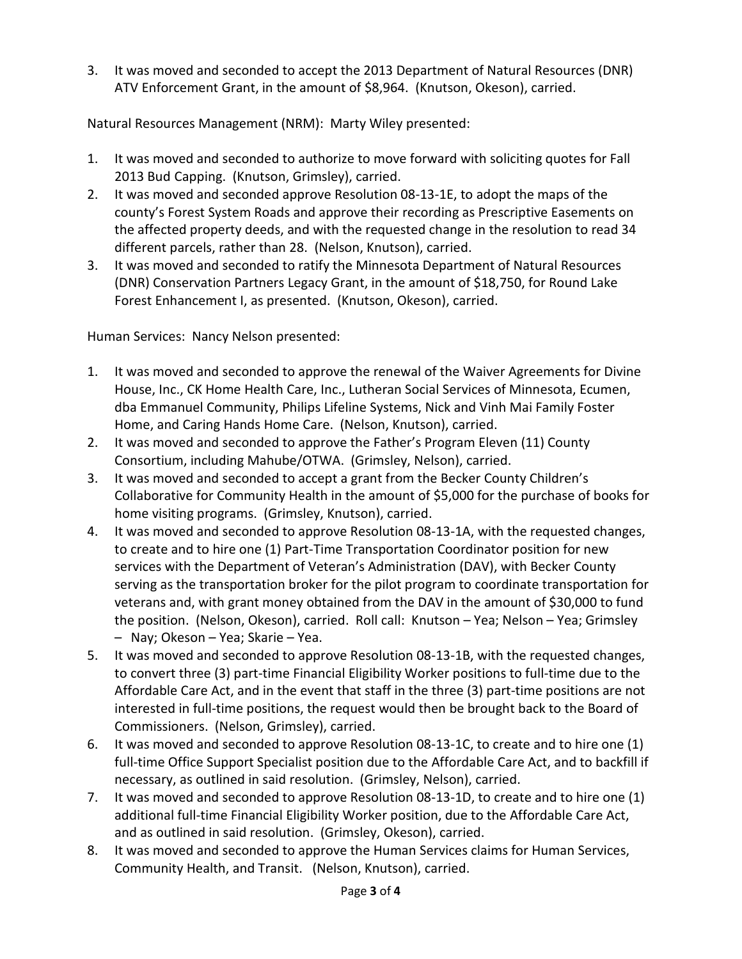3. It was moved and seconded to accept the 2013 Department of Natural Resources (DNR) ATV Enforcement Grant, in the amount of \$8,964. (Knutson, Okeson), carried.

Natural Resources Management (NRM): Marty Wiley presented:

- 1. It was moved and seconded to authorize to move forward with soliciting quotes for Fall 2013 Bud Capping. (Knutson, Grimsley), carried.
- 2. It was moved and seconded approve Resolution 08-13-1E, to adopt the maps of the county's Forest System Roads and approve their recording as Prescriptive Easements on the affected property deeds, and with the requested change in the resolution to read 34 different parcels, rather than 28. (Nelson, Knutson), carried.
- 3. It was moved and seconded to ratify the Minnesota Department of Natural Resources (DNR) Conservation Partners Legacy Grant, in the amount of \$18,750, for Round Lake Forest Enhancement I, as presented. (Knutson, Okeson), carried.

Human Services: Nancy Nelson presented:

- 1. It was moved and seconded to approve the renewal of the Waiver Agreements for Divine House, Inc., CK Home Health Care, Inc., Lutheran Social Services of Minnesota, Ecumen, dba Emmanuel Community, Philips Lifeline Systems, Nick and Vinh Mai Family Foster Home, and Caring Hands Home Care. (Nelson, Knutson), carried.
- 2. It was moved and seconded to approve the Father's Program Eleven (11) County Consortium, including Mahube/OTWA. (Grimsley, Nelson), carried.
- 3. It was moved and seconded to accept a grant from the Becker County Children's Collaborative for Community Health in the amount of \$5,000 for the purchase of books for home visiting programs. (Grimsley, Knutson), carried.
- 4. It was moved and seconded to approve Resolution 08-13-1A, with the requested changes, to create and to hire one (1) Part-Time Transportation Coordinator position for new services with the Department of Veteran's Administration (DAV), with Becker County serving as the transportation broker for the pilot program to coordinate transportation for veterans and, with grant money obtained from the DAV in the amount of \$30,000 to fund the position. (Nelson, Okeson), carried. Roll call: Knutson – Yea; Nelson – Yea; Grimsley – Nay; Okeson – Yea; Skarie – Yea.
- 5. It was moved and seconded to approve Resolution 08-13-1B, with the requested changes, to convert three (3) part-time Financial Eligibility Worker positions to full-time due to the Affordable Care Act, and in the event that staff in the three (3) part-time positions are not interested in full-time positions, the request would then be brought back to the Board of Commissioners. (Nelson, Grimsley), carried.
- 6. It was moved and seconded to approve Resolution 08-13-1C, to create and to hire one (1) full-time Office Support Specialist position due to the Affordable Care Act, and to backfill if necessary, as outlined in said resolution. (Grimsley, Nelson), carried.
- 7. It was moved and seconded to approve Resolution 08-13-1D, to create and to hire one (1) additional full-time Financial Eligibility Worker position, due to the Affordable Care Act, and as outlined in said resolution. (Grimsley, Okeson), carried.
- 8. It was moved and seconded to approve the Human Services claims for Human Services, Community Health, and Transit. (Nelson, Knutson), carried.